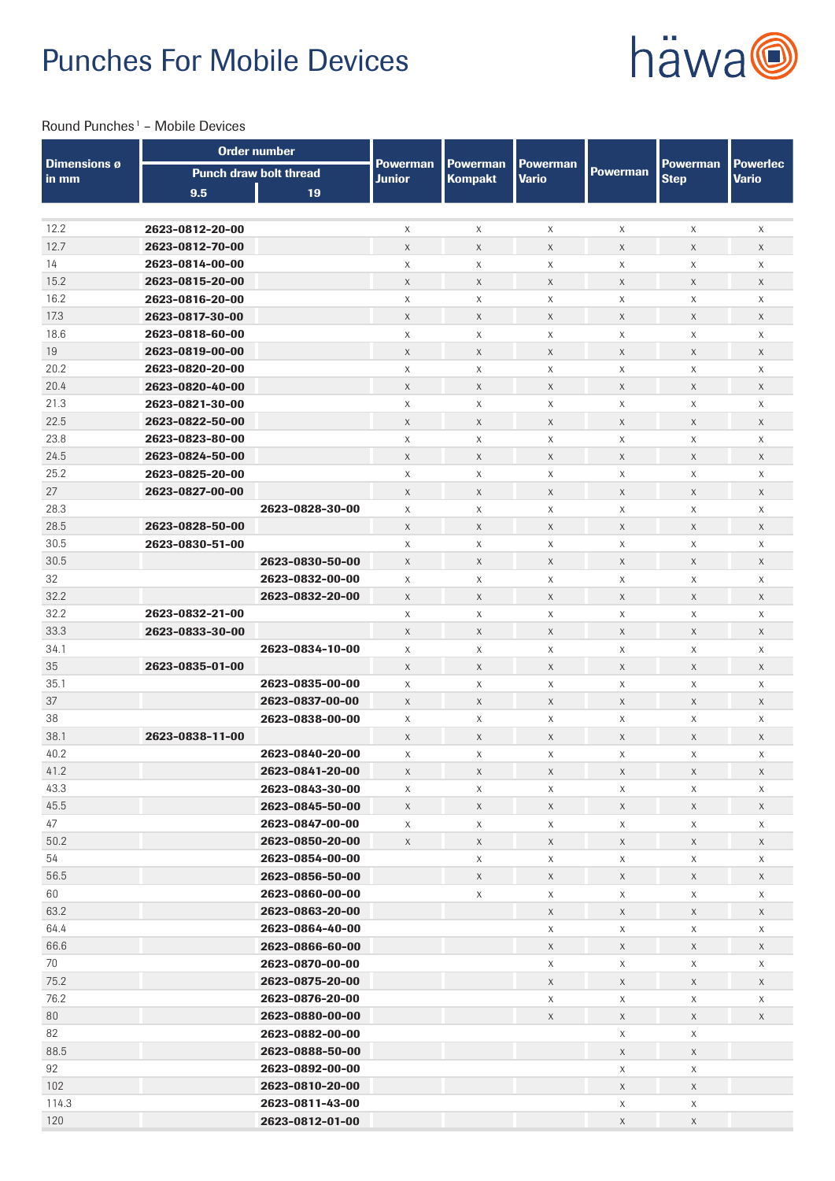# Punches For Mobile Devices



## Round Punches<sup>1</sup> - Mobile Devices

|                              | <b>Order number</b> |                                    |                                  |                                   |                                 |                           |                                |                                 |
|------------------------------|---------------------|------------------------------------|----------------------------------|-----------------------------------|---------------------------------|---------------------------|--------------------------------|---------------------------------|
| <b>Dimensions ø</b><br>in mm |                     | <b>Punch draw bolt thread</b>      | <b>Powerman</b><br><b>Junior</b> | <b>Powerman</b><br><b>Kompakt</b> | <b>Powerman</b><br><b>Vario</b> | <b>Powerman</b>           | <b>Powerman</b><br><b>Step</b> | <b>Powerlec</b><br><b>Vario</b> |
|                              | 9.5                 | 19                                 |                                  |                                   |                                 |                           |                                |                                 |
|                              |                     |                                    |                                  |                                   |                                 |                           |                                |                                 |
| 12.2                         | 2623-0812-20-00     |                                    | X                                | X                                 | X                               | X                         | X                              | X                               |
| 12.7                         | 2623-0812-70-00     |                                    | $\mathsf X$                      | X                                 | $\mathsf X$                     | $\mathsf X$               | $\mathsf X$                    | $\mathsf X$                     |
| 14                           | 2623-0814-00-00     |                                    | X                                | X                                 | X                               | X                         | X                              | X                               |
| 15.2                         | 2623-0815-20-00     |                                    | X                                | X                                 | X                               | X                         | X                              | $\mathsf X$                     |
| 16.2                         | 2623-0816-20-00     |                                    | X                                | X                                 | X                               | $\times$                  | X                              | X                               |
| 17.3                         | 2623-0817-30-00     |                                    | X                                | X                                 | X                               | X                         | X                              | X                               |
| 18.6                         | 2623-0818-60-00     |                                    | X                                | X                                 | X                               | X                         | X                              | X                               |
| 19                           | 2623-0819-00-00     |                                    | $\mathsf{X}$                     | $\mathsf{X}$                      | $\mathsf X$                     | $\mathsf{X}$              | $\mathsf X$                    | $\mathsf X$                     |
| 20.2                         | 2623-0820-20-00     |                                    | X                                | X                                 | X                               | X                         | X                              | X                               |
| 20.4                         | 2623-0820-40-00     |                                    | X                                | $\mathsf X$                       | X                               | $\mathsf X$               | X                              | $\mathsf X$                     |
| 21.3                         | 2623-0821-30-00     |                                    | X                                | X                                 | X                               | X                         | X                              | X                               |
| 22.5                         | 2623-0822-50-00     |                                    | X                                | $\mathsf X$                       | X                               | $\chi$                    | X                              | X                               |
| 23.8                         | 2623-0823-80-00     |                                    | X                                | X                                 | X                               | X                         | X                              | X                               |
| 24.5                         | 2623-0824-50-00     |                                    | X                                | $\mathsf X$                       | X                               | $\mathsf X$               | X                              | X                               |
| 25.2                         | 2623-0825-20-00     |                                    | X                                | X                                 | X                               | $\times$                  | X                              | X                               |
| 27                           | 2623-0827-00-00     |                                    | X                                | $\mathsf X$                       | $\mathsf X$                     | $\boldsymbol{\mathsf{X}}$ | X                              | $\mathsf X$                     |
| 28.3                         |                     | 2623-0828-30-00                    | X                                | X                                 | X                               | X                         | X                              | X                               |
| 28.5                         | 2623-0828-50-00     |                                    | X                                | $\mathsf X$                       | X                               | $\times$                  | X                              | X                               |
| 30.5                         | 2623-0830-51-00     |                                    | X                                | X                                 | X                               | X                         | X                              | X                               |
| 30.5                         |                     | 2623-0830-50-00                    | X                                | $\mathsf X$                       | X                               | $\mathsf X$               | X                              | X                               |
| 32                           |                     | 2623-0832-00-00                    | X                                | X                                 | X                               | $\times$                  | X                              | X                               |
| 32.2                         |                     | 2623-0832-20-00                    | X                                | $\mathsf X$                       | $\mathsf X$                     | $\mathsf X$               | X                              | X                               |
| 32.2                         | 2623-0832-21-00     |                                    | X                                | $\mathsf X$                       | X                               | X                         | X                              | X                               |
| 33.3                         | 2623-0833-30-00     |                                    | X                                | $\mathsf X$                       | $\mathsf X$                     | $\times$                  | X                              | $\mathsf X$                     |
| 34.1                         |                     | 2623-0834-10-00                    | X                                | X                                 | X                               | X                         | X                              | X                               |
| 35                           | 2623-0835-01-00     |                                    | X                                | $\mathsf X$                       | X                               | $\mathsf X$               | X                              | $\mathsf X$                     |
| 35.1                         |                     | 2623-0835-00-00                    | X                                | $\times$                          | X                               | $\times$                  | X                              | X                               |
| 37                           |                     | 2623-0837-00-00                    | X                                | X                                 | $\mathsf X$                     | X                         | X                              | $\mathsf X$                     |
| 38                           |                     | 2623-0838-00-00                    | X                                | X                                 | X                               | X                         | X                              | X                               |
| 38.1<br>40.2                 | 2623-0838-11-00     | 2623-0840-20-00                    | X                                | $\mathsf X$                       | X                               | X                         | X                              | $\mathsf X$                     |
| 41.2                         |                     |                                    | X                                | X<br>X                            | X<br>X                          | X<br>X                    | X<br>X                         | X<br>X                          |
| 43.3                         |                     | 2623-0841-20-00<br>2623-0843-30-00 | X<br>X                           | X                                 | X                               | $\mathsf{X}$              | X                              | X                               |
| 45.5                         |                     | 2623-0845-50-00                    | $\mathsf X$                      | $\mathsf X$                       | $\mathsf X$                     | $\mathsf X$               | $\mathsf X$                    | $\mathsf X$                     |
| 47                           |                     | 2623-0847-00-00                    | X                                | $\mathsf X$                       | X                               | $\mathsf X$               | X                              | X                               |
| 50.2                         |                     | 2623-0850-20-00                    | X                                | $\mathsf X$                       | X                               | $\chi$                    | $\mathsf X$                    | X                               |
| 54                           |                     | 2623-0854-00-00                    |                                  | $\mathsf X$                       | $\mathsf X$                     | $\mathsf X$               | X                              | $\mathsf X$                     |
| 56.5                         |                     | 2623-0856-50-00                    |                                  | $\mathsf X$                       | X                               | $\chi$                    | $\mathsf X$                    | X                               |
| 60                           |                     | 2623-0860-00-00                    |                                  | $\mathsf X$                       | X                               | $\mathsf{X}$              | X                              | X                               |
| 63.2                         |                     | 2623-0863-20-00                    |                                  |                                   | $\mathsf X$                     | X                         | X                              | X                               |
| 64.4                         |                     | 2623-0864-40-00                    |                                  |                                   | X                               | $\mathsf X$               | X                              | $\mathsf X$                     |
| 66.6                         |                     | 2623-0866-60-00                    |                                  |                                   | X                               | X                         | X                              | X                               |
| 70                           |                     | 2623-0870-00-00                    |                                  |                                   | X                               | $\mathsf X$               | X                              | $\mathsf X$                     |
| 75.2                         |                     | 2623-0875-20-00                    |                                  |                                   | X                               | X                         | X                              | X                               |
| 76.2                         |                     | 2623-0876-20-00                    |                                  |                                   | X                               | X                         | X                              | X                               |
| 80                           |                     | 2623-0880-00-00                    |                                  |                                   | $\mathsf X$                     | $\mathsf X$               | $\mathsf X$                    | X                               |
| 82                           |                     | 2623-0882-00-00                    |                                  |                                   |                                 | $\mathsf{X}$              | X                              |                                 |
| 88.5                         |                     | 2623-0888-50-00                    |                                  |                                   |                                 | $\mathsf X$               | X                              |                                 |
| 92                           |                     | 2623-0892-00-00                    |                                  |                                   |                                 | $\mathsf X$               | X                              |                                 |
| 102                          |                     | 2623-0810-20-00                    |                                  |                                   |                                 | $\mathsf X$               | X                              |                                 |
| 114.3                        |                     | 2623-0811-43-00                    |                                  |                                   |                                 | X                         | X                              |                                 |
| 120                          |                     | 2623-0812-01-00                    |                                  |                                   |                                 | $\mathsf X$               | $\mathsf X$                    |                                 |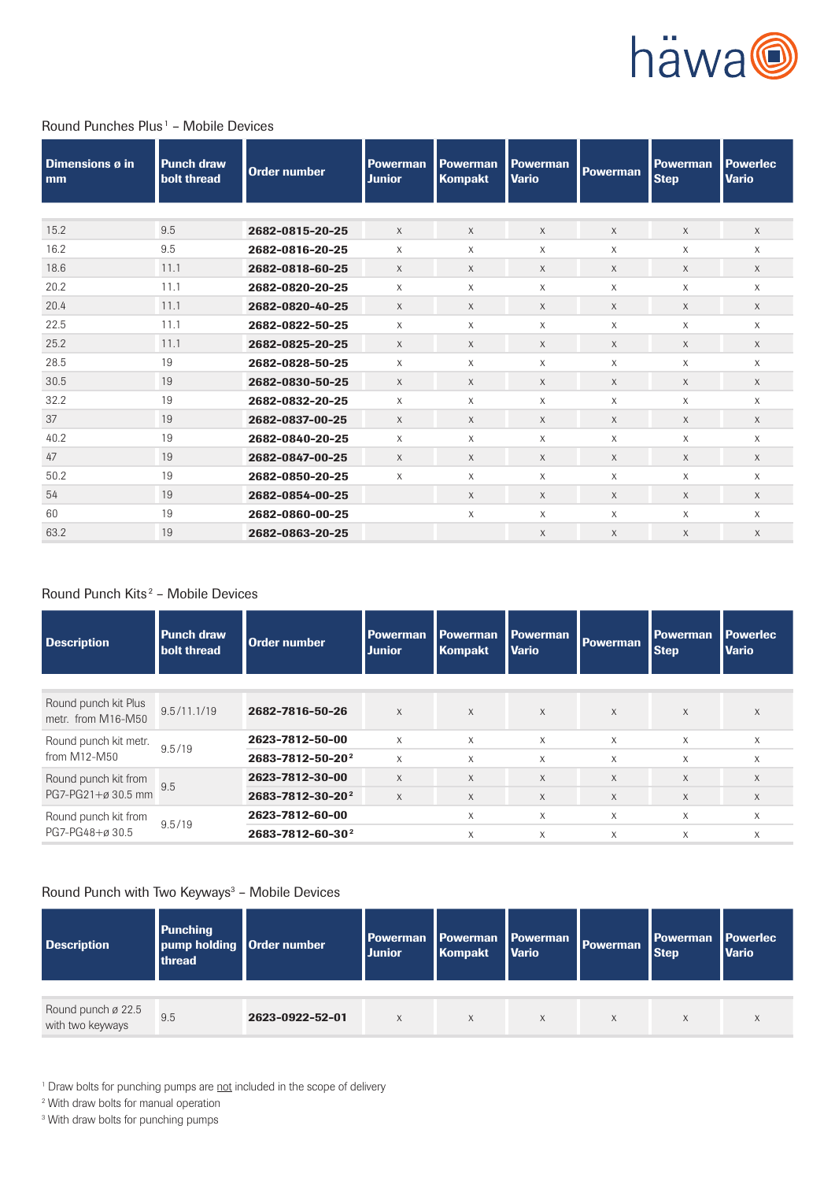

## Round Punches Plus<sup>1</sup> - Mobile Devices

| Dimensions ø in<br>mm | <b>Punch draw</b><br>bolt thread | Order number    | <b>Powerman</b><br><b>Junior</b> | <b>Powerman</b><br><b>Kompakt</b> | <b>Powerman</b><br><b>Vario</b> | <b>Powerman</b> | <b>Powerman</b><br><b>Step</b> | <b>Powerlec</b><br><b>Vario</b> |
|-----------------------|----------------------------------|-----------------|----------------------------------|-----------------------------------|---------------------------------|-----------------|--------------------------------|---------------------------------|
|                       |                                  |                 |                                  |                                   |                                 |                 |                                |                                 |
| 15.2                  | 9.5                              | 2682-0815-20-25 | $\times$                         | $\mathsf{X}$                      | X                               | $\times$        | X                              | $\times$                        |
| 16.2                  | 9.5                              | 2682-0816-20-25 | X                                | $\times$                          | $\times$                        | X               | X                              | $\times$                        |
| 18.6                  | 11.1                             | 2682-0818-60-25 | X                                | X                                 | X                               | X               | X                              | $\times$                        |
| 20.2                  | 11.1                             | 2682-0820-20-25 | X                                | X                                 | X                               | X               | X                              | X                               |
| 20.4                  | 11.1                             | 2682-0820-40-25 | $\times$                         | $\chi$                            | X                               | $\chi$          | X                              | $\times$                        |
| 22.5                  | 11.1                             | 2682-0822-50-25 | X                                | $\times$                          | $\times$                        | $\times$        | X                              | $\times$                        |
| 25.2                  | 11.1                             | 2682-0825-20-25 | X                                | $\chi$                            | X                               | $\times$        | X                              | $\times$                        |
| 28.5                  | 19                               | 2682-0828-50-25 | X                                | X                                 | X                               | $\chi$          | X                              | X                               |
| 30.5                  | 19                               | 2682-0830-50-25 | X                                | $\chi$                            | X                               | $\chi$          | X                              | $\times$                        |
| 32.2                  | 19                               | 2682-0832-20-25 | X                                | $\times$                          | X                               | X               | X                              | X                               |
| 37                    | 19                               | 2682-0837-00-25 | $\times$                         | $\chi$                            | $\chi$                          | X               | X                              | X                               |
| 40.2                  | 19                               | 2682-0840-20-25 | X                                | X                                 | X                               | X               | X                              | X                               |
| 47                    | 19                               | 2682-0847-00-25 | X                                | $\times$                          | X                               | $\chi$          | X                              | $\times$                        |
| 50.2                  | 19                               | 2682-0850-20-25 | X                                | X                                 | X                               | X               | X                              | X                               |
| 54                    | 19                               | 2682-0854-00-25 |                                  | $\chi$                            | $\chi$                          | $\times$        | X                              | X                               |
| 60                    | 19                               | 2682-0860-00-25 |                                  | X                                 | X                               | X               | X                              | X                               |
| 63.2                  | 19                               | 2682-0863-20-25 |                                  |                                   | $\times$                        | $\chi$          | X                              | $\times$                        |

## Round Punch Kits<sup>2</sup> - Mobile Devices

| <b>Description</b>                         | <b>Punch draw</b><br>bolt thread | Order number                 | Powerman<br><b>Junior</b> | <b>Powerman</b><br><b>Kompakt</b> | <b>Powerman</b><br><b>Vario</b> | <b>Powerman</b> | <b>Powerman</b><br><b>Step</b> | <b>Powerlec</b><br><b>Vario</b> |
|--------------------------------------------|----------------------------------|------------------------------|---------------------------|-----------------------------------|---------------------------------|-----------------|--------------------------------|---------------------------------|
|                                            |                                  |                              |                           |                                   |                                 |                 |                                |                                 |
| Round punch kit Plus<br>metr. from M16-M50 | 9.5/11.1/19                      | 2682-7816-50-26              | $\chi$                    | X                                 | $\times$                        | $\times$        | $\times$                       | X                               |
| Round punch kit metr.                      | 9.5/19                           | 2623-7812-50-00              | $\chi$                    | X                                 | $\times$                        | $\times$        | $\times$                       | X                               |
| from M12-M50                               |                                  | 2683-7812-50-202             | $\mathsf{x}$              | $\mathsf{x}$                      | X                               | $\times$        | $\times$                       | X                               |
| Round punch kit from                       |                                  | 2623-7812-30-00              | $\mathsf{X}$              | X                                 | $\mathsf{X}$                    | $\mathsf{X}$    | $\times$                       | X                               |
| PG7-PG21+ø 30.5 mm                         | 9.5                              | 2683-7812-30-20 <sup>2</sup> | $\times$                  | X                                 | $\mathsf{X}$                    | $\times$        | X                              | X                               |
| Round punch kit from                       |                                  | 2623-7812-60-00              |                           | X                                 | X                               | $\mathsf{X}$    | X                              | X                               |
| PG7-PG48+ø30.5                             | 9.5/19                           | 2683-7812-60-30 <sup>2</sup> |                           | X                                 | X                               | X               | X                              | X                               |
|                                            |                                  |                              |                           |                                   |                                 |                 |                                |                                 |

## Round Punch with Two Keyways<sup>3</sup> - Mobile Devices

| <b>Description</b>                     | <b>Punching</b><br>pump holding   Order number<br>thread |                 | <b>Powerman</b><br><b>Junior</b> | <b>Powerman</b><br>Kompakt | Powerman<br><b>Vario</b> | <b>Powerman</b> | <b>Powerman</b><br><b>Step</b> | <b>I</b> Powerlec<br><b>Vario</b> |
|----------------------------------------|----------------------------------------------------------|-----------------|----------------------------------|----------------------------|--------------------------|-----------------|--------------------------------|-----------------------------------|
|                                        |                                                          |                 |                                  |                            |                          |                 |                                |                                   |
| Round punch ø 22.5<br>with two keyways | 9.5                                                      | 2623-0922-52-01 | $\times$                         | $\times$                   | X                        | X               |                                | $\lambda$                         |

<sup>1</sup> Draw bolts for punching pumps are not included in the scope of delivery

2 With draw bolts for manual operation

<sup>3</sup> With draw bolts for punching pumps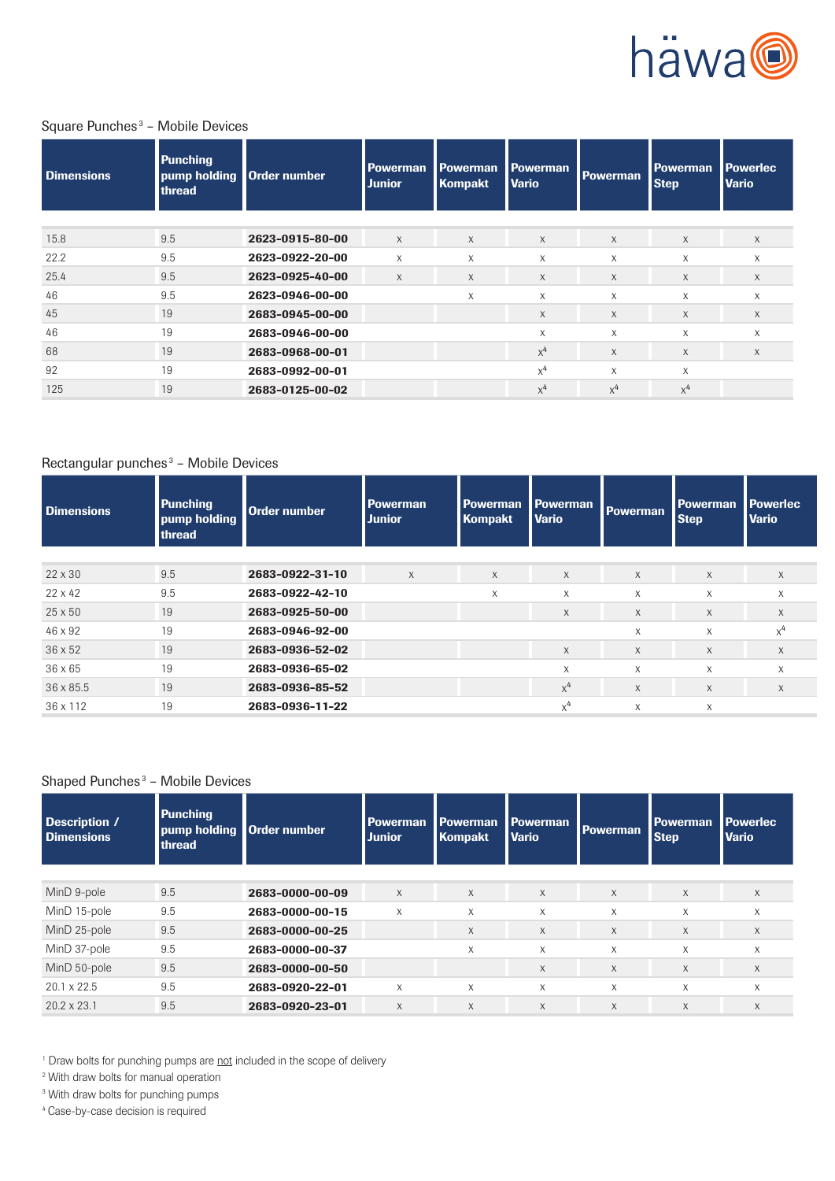

## Square Punches<sup>3</sup> - Mobile Devices

| <b>Dimensions</b> | <b>Punching</b><br>thread | pump holding Order number | <b>Powerman</b><br><b>Junior</b> | <b>Powerman</b><br><b>Kompakt</b> | <b>Powerman</b><br><b>Vario</b> | <b>Powerman</b> | Powerman<br><b>Step</b> | <b>Powerlec</b><br><b>Vario</b> |
|-------------------|---------------------------|---------------------------|----------------------------------|-----------------------------------|---------------------------------|-----------------|-------------------------|---------------------------------|
|                   |                           |                           |                                  |                                   |                                 |                 |                         |                                 |
| 15.8              | 9.5                       | 2623-0915-80-00           | $\chi$                           | X                                 | $\chi$                          | $\times$        | $\times$                | $\times$                        |
| 22.2              | 9.5                       | 2623-0922-20-00           | X                                | X                                 | $\boldsymbol{\mathsf{X}}$       | X               | X                       | X                               |
| 25.4              | 9.5                       | 2623-0925-40-00           | $\times$                         | X                                 | X                               | $\times$        | $\chi$                  | X                               |
| 46                | 9.5                       | 2623-0946-00-00           |                                  | X                                 | X                               | X               | X                       | X                               |
| 45                | 19                        | 2683-0945-00-00           |                                  |                                   | X                               | $\times$        | $\chi$                  | X                               |
| 46                | 19                        | 2683-0946-00-00           |                                  |                                   | X                               | X               | X                       | X                               |
| 68                | 19                        | 2683-0968-00-01           |                                  |                                   | $x^4$                           | $\times$        | $\chi$                  | $\times$                        |
| 92                | 19                        | 2683-0992-00-01           |                                  |                                   | $x^4$                           | X               | X                       |                                 |
| 125               | 19                        | 2683-0125-00-02           |                                  |                                   | $x^4$                           | $x^4$           | $x^4$                   |                                 |

## Rectangular punches<sup>3</sup> - Mobile Devices

| <b>Dimensions</b> | <b>Punching</b><br>pump holding<br>thread | Order number    | <b>Powerman</b><br><b>Junior</b> | <b>Powerman</b><br>Kompakt | <b>Powerman</b><br><b>Vario</b> | <b>Powerman</b> | <b>Powerman</b><br><b>Step</b> | <b>Powerlec</b><br><b>Vario</b> |
|-------------------|-------------------------------------------|-----------------|----------------------------------|----------------------------|---------------------------------|-----------------|--------------------------------|---------------------------------|
|                   |                                           |                 |                                  |                            |                                 |                 |                                |                                 |
| $22 \times 30$    | 9.5                                       | 2683-0922-31-10 | $\chi$                           | $\times$                   | $\chi$                          | $\chi$          | $\mathsf X$                    | X                               |
| $22 \times 42$    | 9.5                                       | 2683-0922-42-10 |                                  | $\times$                   | X                               | X               | $\chi$                         | X                               |
| $25 \times 50$    | 19                                        | 2683-0925-50-00 |                                  |                            | X                               | X               | X                              | X                               |
| 46 x 92           | 19                                        | 2683-0946-92-00 |                                  |                            |                                 | $\times$        | $\times$                       | $x^4$                           |
| $36 \times 52$    | 19                                        | 2683-0936-52-02 |                                  |                            | $\times$                        | $\times$        | $\times$                       | X                               |
| $36 \times 65$    | 19                                        | 2683-0936-65-02 |                                  |                            | X                               | X               | $\times$                       | $\times$                        |
| 36 x 85.5         | 19                                        | 2683-0936-85-52 |                                  |                            | $x^4$                           | $\times$        | $\chi$                         | X                               |
| 36 x 112          | 19                                        | 2683-0936-11-22 |                                  |                            | $x^4$                           | X               | X                              |                                 |

## Shaped Punches<sup>3</sup> - Mobile Devices

| Description /<br><b>Dimensions</b> | <b>Punching</b><br>pump holding<br>thread | Order number    | Powerman<br><b>Junior</b> | <b>Powerman</b><br><b>Kompakt</b> | <b>Powerman</b><br><b>Vario</b> | <b>Powerman</b> | <b>Powerman</b><br><b>Step</b> | <b>Powerlec</b><br><b>Vario</b> |
|------------------------------------|-------------------------------------------|-----------------|---------------------------|-----------------------------------|---------------------------------|-----------------|--------------------------------|---------------------------------|
| MinD 9-pole                        | 9.5                                       | 2683-0000-00-09 | $\times$                  | $\times$                          | $\times$                        | $\times$        | $\times$                       | X                               |
| MinD 15-pole                       | 9.5                                       | 2683-0000-00-15 | X                         | $\mathsf{x}$                      | X                               | $\chi$          | $\chi$                         | X                               |
| MinD 25-pole                       | 9.5                                       | 2683-0000-00-25 |                           | X                                 | X                               | $\times$        | $\chi$                         | $\times$                        |
| MinD 37-pole                       | 9.5                                       | 2683-0000-00-37 |                           | X                                 | $\boldsymbol{\mathsf{X}}$       | $\chi$          | $\times$                       | X                               |
| MinD 50-pole                       | 9.5                                       | 2683-0000-00-50 |                           |                                   | X                               | $\chi$          | $\chi$                         | X                               |
| $20.1 \times 22.5$                 | 9.5                                       | 2683-0920-22-01 | $\boldsymbol{\mathsf{X}}$ | $\mathsf{x}$                      | X                               | $\mathsf{X}$    | X                              | X                               |
| $20.2 \times 23.1$                 | 9.5                                       | 2683-0920-23-01 | X                         | X                                 | X                               | $\chi$          | $\chi$                         | X                               |

<sup>1</sup> Draw bolts for punching pumps are not included in the scope of delivery

2 With draw bolts for manual operation

<sup>3</sup> With draw bolts for punching pumps

<sup>4</sup> Case-by-case decision is required